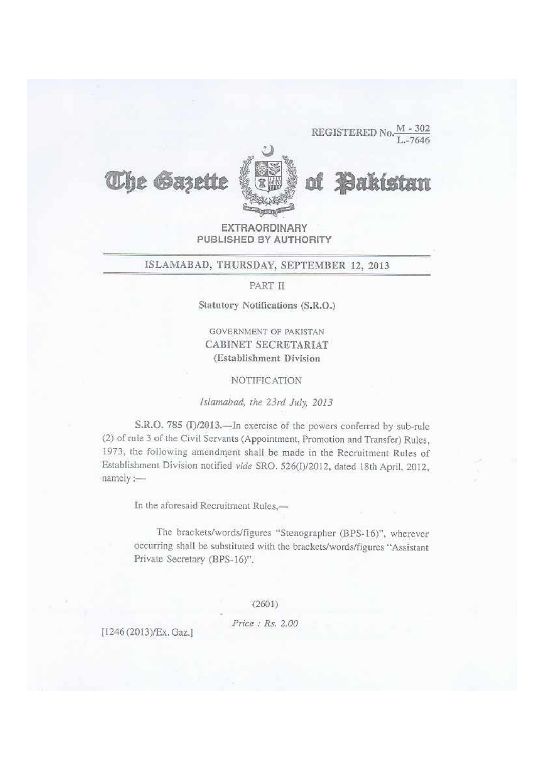$-302$ **REGISTERED N** 





**EXTRAORDINARY** PUBLISHED BY AUTHORITY

### ISLAMABAD, THURSDAY, SEPTEMBER 12, 2013

### PART II

Statutory Notifications (S.R.O.)

**GOVERNMENT OF PAKISTAN** CABINET SECRETARIAT (Establishment Division

### **NOTIFICATION**

Islamabad, the 23rd July, 2013

S.R.O. 785 (I)/2013. - In exercise of the powers conferred by sub-rule (2) of rule 3 of the Civil Servants (Appointment, Promotion and Transfer) Rules, 1973, the following amendment shall be made in the Recruitment Rules of Establishment Division notified vide SRO. 526(I)/2012, dated 18th April, 2012, namely:-

In the aforesaid Recruitment Rules.-

The brackets/words/figures "Stenographer (BPS-16)", wherever occurring shall be substituted with the brackets/words/figures "Assistant Private Secretary (BPS-16)".

 $(2601)$ 

Price: Rs. 2.00

[1246 (2013)/Ex. Gaz.]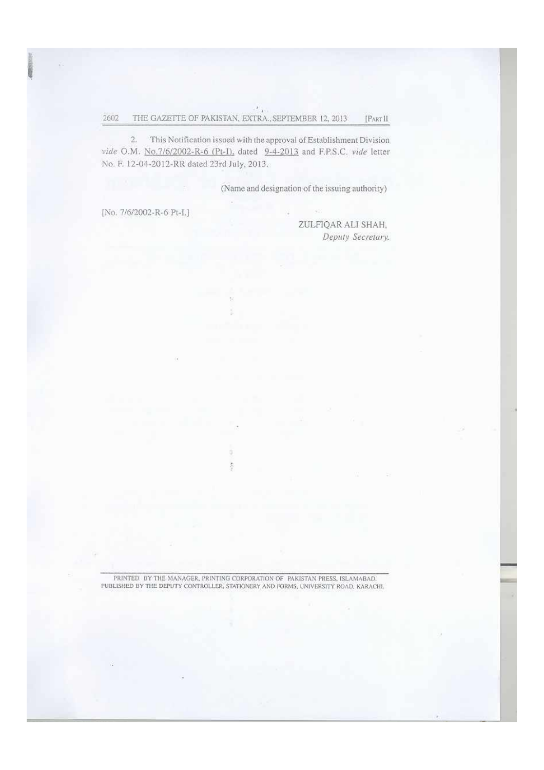2. This Notification issued with the approval of Establishment Division vide O.M. No.7/6/2002-R-6 (Pt-I), dated 9-4-2013 and F.P.S.C. vide letter No. F. 12-04-2012-RR dated 23rd July, 2013.

(Name and designation of the issuing authority)

[No. 7/6/2002-R-6 Pt-L]

ZULFIQAR ALI SHAH, Deputy Secretary.

PRINTED BY THE MANAGER, PRINTING CORPORATION OF PAKISTAN PRESS, ISLAMABAD. PUBLISHED BY THE DEPUTY CONTROLLER, STATIONERY AND FORMS, UNIVERSITY ROAD, KARACHI.

š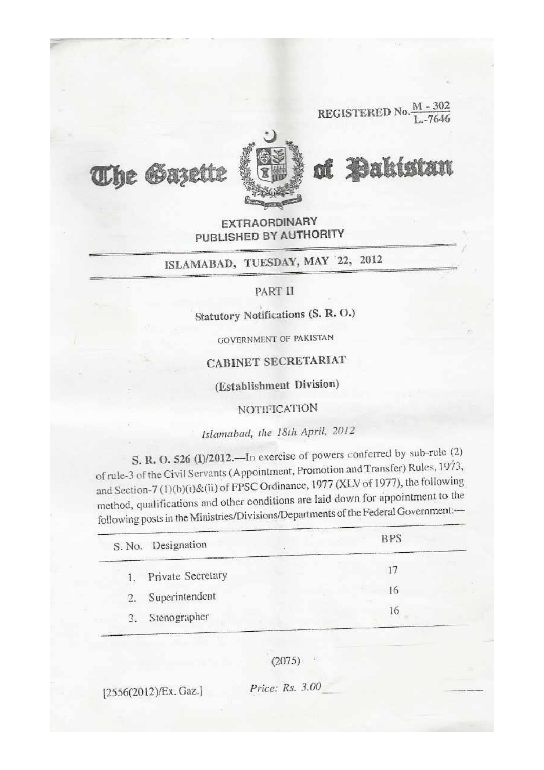M - 302 **REGISTERED No** 





### Bak đË.

**EXTRAORDINARY** PUBLISHED BY AUTHORITY

# ISLAMABAD, TUESDAY, MAY 22, 2012

### PART II

# Statutory Notifications (S. R. O.)

**GOVERNMENT OF PAKISTAN** 

# CABINET SECRETARIAT

(Establishment Division)

### **NOTIFICATION**

# Islamabad, the 18th April, 2012

S. R. O. 526 (I)/2012. - In exercise of powers conferred by sub-rule (2) of rule-3 of the Civil Servants (Appointment, Promotion and Transfer) Rules, 1973, and Section-7 (1)(b)(i)&(ii) of FPSC Ordinance, 1977 (XLV of 1977), the following method, qualifications and other conditions are laid down for appointment to the following posts in the Ministries/Divisions/Departments of the Federal Government:-

| S. No. Designation   | <b>BPS</b> |  |
|----------------------|------------|--|
| Private Secretary    | 17         |  |
| Superintendent<br>2. | 16         |  |
| Stenographer<br>3.   |            |  |

 $(2075)$ 

[2556(2012)/Ex. Gaz.]

Price: Rs. 3.00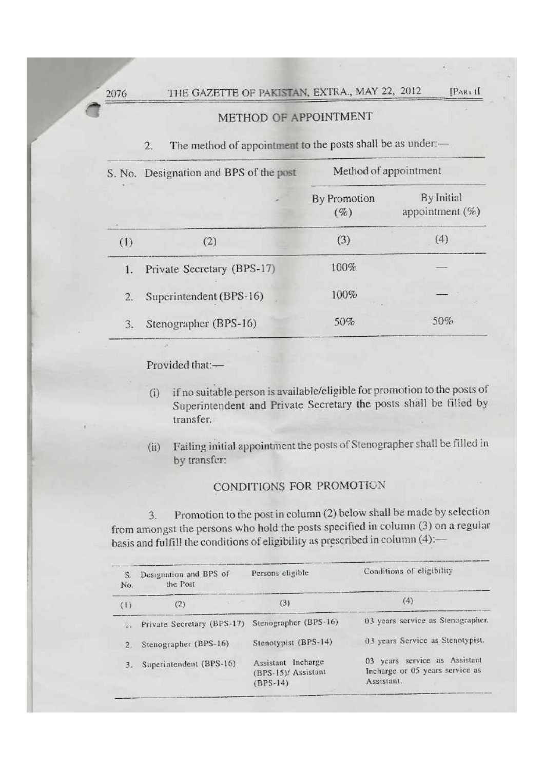$[PAR<sub>1</sub>1]$ 

### METHOD OF APPOINTMENT

The method of appointment to the posts shall be as under:- $\overline{2}$ 

|     | S. No. Designation and BPS of the post | Method of appointment  |                                  |  |  |
|-----|----------------------------------------|------------------------|----------------------------------|--|--|
|     |                                        | By Promotion<br>$(\%)$ | By Initial<br>appointment $(\%)$ |  |  |
| (1) | $\left( 2\right)$                      | (3)                    | (4)                              |  |  |
| 1.  | Private Secretary (BPS-17)             | 100%                   |                                  |  |  |
| 2.  | Superintendent (BPS-16)                | 100%                   |                                  |  |  |
| 3.  | Stenographer (BPS-16)                  | 50%                    | 50%                              |  |  |

Provided that:-

- if no suitable person is available/eligible for promotion to the posts of  $(i)$ Superintendent and Private Secretary the posts shall be filled by transfer.
- Failing initial appointment the posts of Stenographer shall be filled in  $(ii)$ by transfer:

### CONDITIONS FOR PROMOTION

Promotion to the post in column (2) below shall be made by selection  $3.$ from amongst the persons who hold the posts specified in column (3) on a regular basis and fulfill the conditions of eligibility as prescribed in column (4):-

| S.<br>No.        | Designation and BPS of<br>the Post               | Persons eligible                                        | Conditions of eligibility                                                           |
|------------------|--------------------------------------------------|---------------------------------------------------------|-------------------------------------------------------------------------------------|
| (1)              | (2)                                              | (3)                                                     | (4)                                                                                 |
| -15              | Private Secretary (BPS-17) Stenographer (BPS-16) |                                                         | 03 years service as Stenographer.                                                   |
| $\overline{2}$ . | Stenographer (BPS-16)                            | Stenotypist (BPS-14)                                    | 03 years Service as Stenotypist.                                                    |
| 3.               | Superintendent (BPS-16)                          | Assistant Incharge<br>(BPS-15)/ Assistant<br>$(BPS-14)$ | service as Assistant<br>$03$ years<br>Incharge or 05 years service as<br>Assistant. |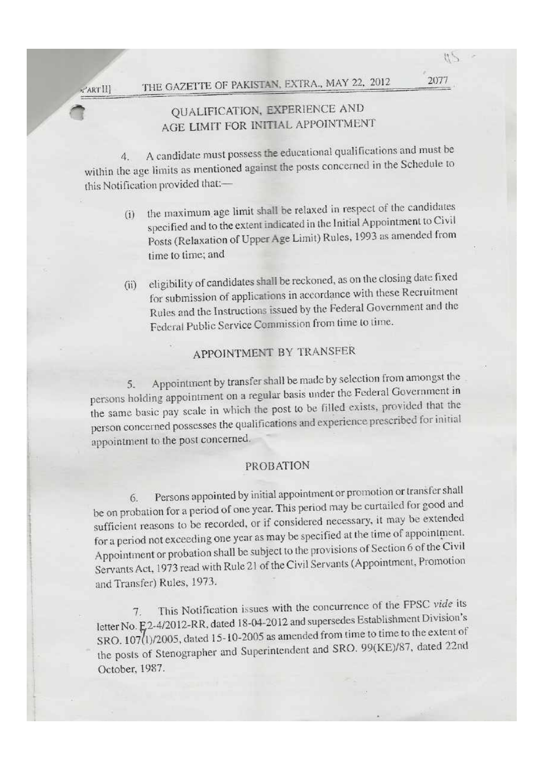## QUALIFICATION, EXPERIENCE AND AGE LIMIT FOR INITIAL APPOINTMENT

2077

A candidate must possess the educational qualifications and must be  $\Lambda$ within the age limits as mentioned against the posts concerned in the Schedule to this Notification provided that:-

- the maximum age limit shall be relaxed in respect of the candidates  $(i)$ specified and to the extent indicated in the Initial Appointment to Civil Posts (Relaxation of Upper Age Limit) Rules, 1993 as amended from time to time; and
- eligibility of candidates shall be reckoned, as on the closing date fixed  $(ii)$ for submission of applications in accordance with these Recruitment Rules and the Instructions issued by the Federal Government and the Federal Public Service Commission from time to time.

## APPOINTMENT BY TRANSFER

Appointment by transfer shall be made by selection from amongst the  $5.$ persons holding appointment on a regular basis under the Federal Government in the same basic pay scale in which the post to be filled exists, provided that the person concerned possesses the qualifications and experience prescribed for initial appointment to the post concerned.

### **PROBATION**

Persons appointed by initial appointment or promotion or transfer shall 6. be on probation for a period of one year. This period may be curtailed for good and sufficient reasons to be recorded, or if considered necessary, it may be extended for a period not exceeding one year as may be specified at the time of appointment. Appointment or probation shall be subject to the provisions of Section 6 of the Civil Servants Act, 1973 read with Rule 21 of the Civil Servants (Appointment, Promotion and Transfer) Rules, 1973.

This Notification issues with the concurrence of the FPSC vide its 7. letter No. E2-4/2012-RR, dated 18-04-2012 and supersedes Establishment Division's SRO. 107(1)/2005, dated 15-10-2005 as amended from time to time to the extent of the posts of Stenographer and Superintendent and SRO. 99(KE)/87, dated 22nd October, 1987.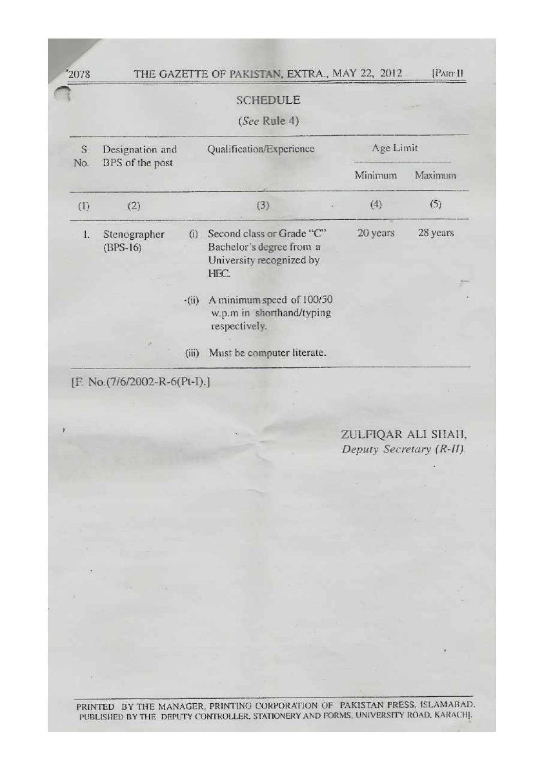THE GAZETTE OF PAKISTAN, EXTRA., MAY 22, 2012 PART II

### **SCHEDULE**

2078

(See Rule 4)

|     | $S_{-}$<br>Designation and<br>No. |       | Qualification/Experience                                                                  | Age Limit |          |
|-----|-----------------------------------|-------|-------------------------------------------------------------------------------------------|-----------|----------|
|     | BPS of the post                   |       |                                                                                           | Minimum   | Maximum  |
| (1) | (2)                               |       | (3)                                                                                       | (4)       | (5)      |
| 1.  | Stenographer<br>$(BPS-16)$        | (i)   | Second class or Grade "C"<br>Bachelor's degree from a<br>University recognized by<br>HEC. | 20 years  | 28 years |
|     |                                   | (ii)  | A minimum speed of 100/50<br>w.p.m in shorthand/typing<br>respectively.                   |           |          |
|     |                                   | (iii) | Must be computer literate.                                                                |           |          |

PRINTED BY THE MANAGER, PRINTING CORPORATION OF PAKISTAN PRESS, ISLAMABAD. PUBLISHED BY THE DEPUTY CONTROLLER, STATIONERY AND FORMS, UNIVERSITY ROAD, KARACHI,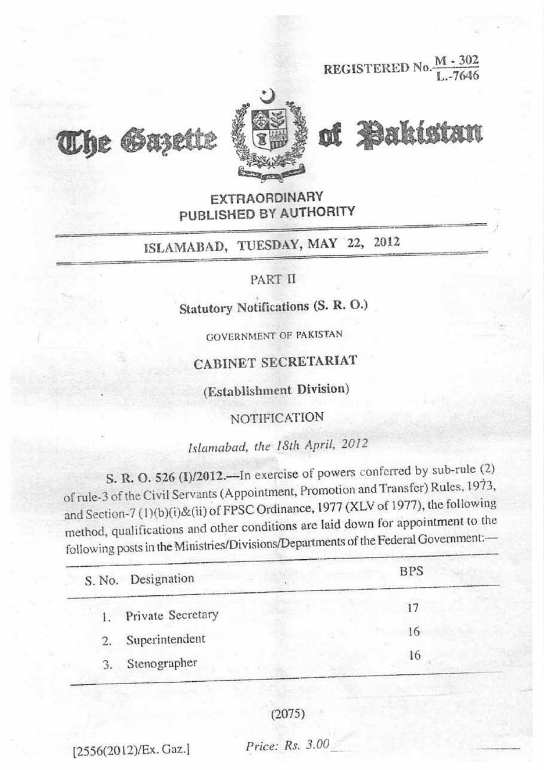REGISTERED No.  $\frac{M \cdot 302}{L \cdot 7646}$ 





of Pakistan

# **EXTRAORDINARY** PUBLISHED BY AUTHORITY

# ISLAMABAD, TUESDAY, MAY 22, 2012

## PART II

# Statutory Notifications (S. R. O.)

**GOVERNMENT OF PAKISTAN** 

# CABINET SECRETARIAT

(Establishment Division)

## NOTIFICATION

Islamabad, the 18th April, 2012

S. R. O. 526 (I)/2012.—In exercise of powers conferred by sub-rule (2) of rule-3 of the Civil Servants (Appointment, Promotion and Transfer) Rules, 1973, and Section-7 (1)(b)(i)&(ii) of FPSC Ordinance, 1977 (XLV of 1977), the following method, qualifications and other conditions are laid down for appointment to the following posts in the Ministries/Divisions/Departments of the Federal Government:-

| S. No. Designation   |  | <b>BPS</b>   |
|----------------------|--|--------------|
| 1. Private Secretary |  | $\mathbf{L}$ |
| 2. Superintendent    |  | $\Omega$     |
| Stenographer         |  | 16           |

 $(2075)$ 

[2556(2012)/Ex. Gaz.]

Price: Rs. 3.00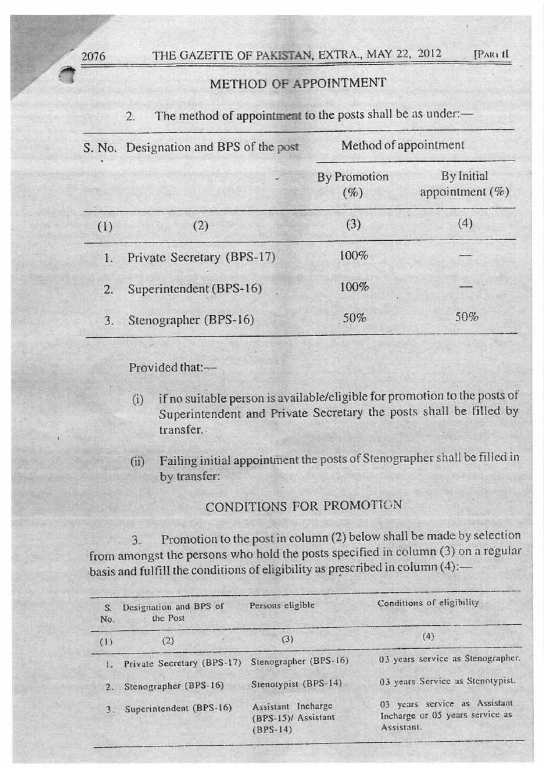# METHOD OF APPOINTMENT

[PARI II

#### The method of appointment to the posts shall be as under:- $\overline{2}$ .

|     | S. No. Designation and BPS of the post | Method of appointment |                                  |  |  |
|-----|----------------------------------------|-----------------------|----------------------------------|--|--|
|     |                                        | By Promotion<br>(%)   | By Initial<br>appointment $(\%)$ |  |  |
| (1) | (2)                                    | (3)                   | (4)                              |  |  |
| 1.  | Private Secretary (BPS-17)             | 100%                  |                                  |  |  |
| 2.  | Superintendent (BPS-16)                | 100%                  |                                  |  |  |
| 3.  | Stenographer (BPS-16)                  | 50%                   | 50%                              |  |  |
|     |                                        |                       |                                  |  |  |

## Provided that:-

- if no suitable person is available/eligible for promotion to the posts of  $(i)$ Superintendent and Private Secretary the posts shall be filled by transfer.
- Failing initial appointment the posts of Stenographer shall be filled in  $(ii)$ by transfer:

## CONDITIONS FOR PROMOTION

Promotion to the post in column (2) below shall be made by selection 3. from amongst the persons who hold the posts specified in column (3) on a regular basis and fulfill the conditions of eligibility as prescribed in column (4):-

| S.<br>No. | Designation and BPS of<br>the Post | Persons eligible                                        | Conditions of eligibility                                                      |
|-----------|------------------------------------|---------------------------------------------------------|--------------------------------------------------------------------------------|
| (1)       | (2)                                | (3)                                                     | (4)                                                                            |
|           | Private Secretary (BPS-17)         | Stenographer (BPS-16)                                   | 03 years service as Stenographer.                                              |
| 2.        | Stenographer (BPS-16)              | Stenotypist (BPS-14)                                    | 03 years Service as Stenotypist.                                               |
| 3.        | Superintendent (BPS-16)            | Assistant Incharge<br>(BPS-15)/ Assistant<br>$(BPS-14)$ | 03 years service as Assistant<br>Incharge or 05 years service as<br>Assistant. |

2076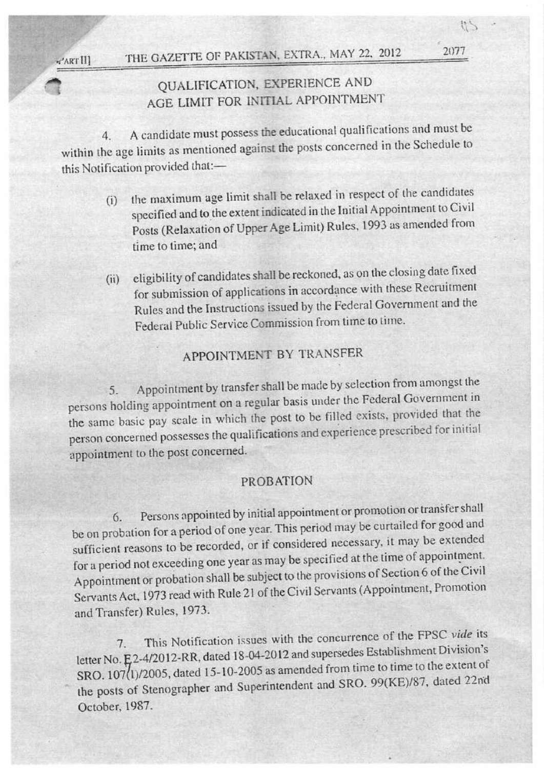#### THE GAZETTE OF PAKISTAN, EXTRA., MAY 22, 2012  $4'ART$ <sup>II]</sup>

# QUALIFICATION, EXPERIENCE AND AGE LIMIT FOR INITIAL APPOINTMENT

A candidate must possess the educational qualifications and must be 4. within the age limits as mentioned against the posts concerned in the Schedule to this Notification provided that:-

- the maximum age limit shall be relaxed in respect of the candidates  $(i)$ specified and to the extent indicated in the Initial Appointment to Civil Posts (Relaxation of Upper Age Limit) Rules, 1993 as amended from time to time; and
- eligibility of candidates shall be reckoned, as on the closing date fixed  $(ii)$ for submission of applications in accordance with these Recruitment Rules and the Instructions issued by the Federal Government and the Federal Public Service Commission from time to time.

# APPOINTMENT BY TRANSFER

Appointment by transfer shall be made by selection from amongst the 5. persons holding appointment on a regular basis under the Federal Government in the same basic pay scale in which the post to be filled exists, provided that the person concerned possesses the qualifications and experience prescribed for initial appointment to the post concerned.

## **PROBATION**

Persons appointed by initial appointment or promotion or transfer shall 6. be on probation for a period of one year. This period may be curtailed for good and sufficient reasons to be recorded, or if considered necessary, it may be extended for a period not exceeding one year as may be specified at the time of appointment. Appointment or probation shall be subject to the provisions of Section 6 of the Civil Servants Act, 1973 read with Rule 21 of the Civil Servants (Appointment, Promotion and Transfer) Rules, 1973.

This Notification issues with the concurrence of the FPSC vide its  $7.$ letter No. E2-4/2012-RR, dated 18-04-2012 and supersedes Establishment Division's SRO. 107(1)/2005, dated 15-10-2005 as amended from time to time to the extent of the posts of Stenographer and Superintendent and SRO. 99(KE)/87, dated 22nd October, 1987.

2077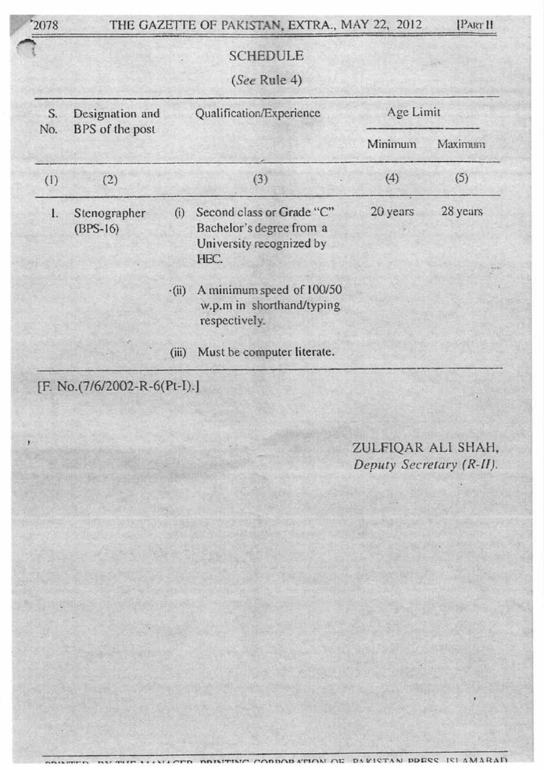|     |                            |              | <b>SCHEDULE</b><br>(See Rule 4)                                                           |           |          |
|-----|----------------------------|--------------|-------------------------------------------------------------------------------------------|-----------|----------|
| S.  | Designation and            |              | Qualification/Experience                                                                  | Age Limit |          |
| No. | BPS of the post            |              |                                                                                           | Minimum   | Maximum  |
| (1) | (2)                        |              | (3)                                                                                       | (4)       | (5)      |
| 1.  | Stenographer<br>$(BPS-16)$ | (i)          | Second class or Grade "C"<br>Bachelor's degree from a<br>University recognized by<br>HEC. | 20 years  | 28 years |
|     |                            | $\cdot$ (ii) | A minimum speed of 100/50<br>w.p.m in shorthand/typing<br>respectively.                   |           |          |
|     |                            | (iii)        | Must be computer literate.                                                                |           |          |

[F. No.(7/6/2002-R-6(Pt-I).]

ZULFIQAR ALI SHAH, Deputy Secretary (R-II).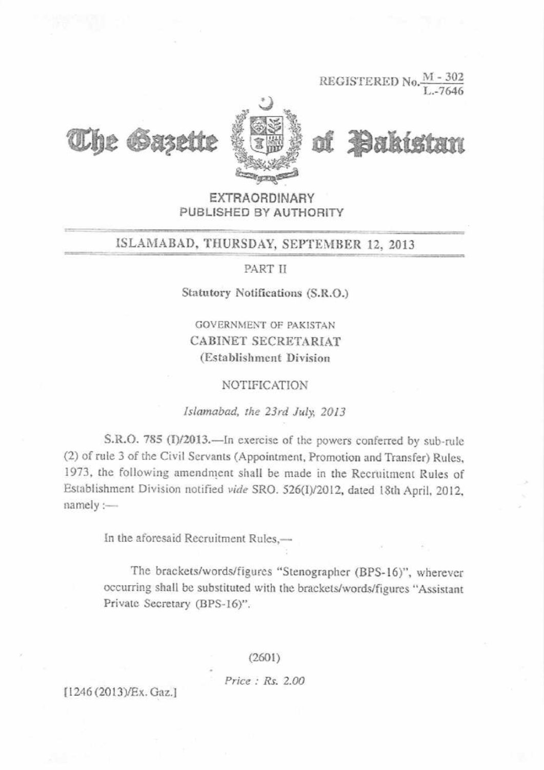REGISTERED No.  $\frac{M-302}{2}$ 





Sakistan

### **EXTRAORDINARY** PUBLISHED BY AUTHORITY

# ISLAMABAD, THURSDAY, SEPTEMBER 12, 2013

### PART II

Statutory Notifications (S.R.O.)

**GOVERNMENT OF PAKISTAN CABINET SECRETARIAT** (Establishment Division)

### NOTIFICATION

### Islamabad, the 23rd July, 2013

S.R.O. 785 (I)/2013. - In exercise of the powers conferred by sub-rule (2) of rule 3 of the Civil Servants (Appointment, Promotion and Transfer) Rules, 1973, the following amendment shall be made in the Recruitment Rules of Establishment Division notified vide SRO. 526(I)/2012, dated 18th April, 2012,  $namely :=$ 

In the aforesaid Recruitment Rules,-

The brackets/words/figures "Stenographer (BPS-16)", wherever occurring shall be substituted with the brackets/words/figures "Assistant Private Secretary (BPS-16)".

 $(2601)$ 

Price: Rs. 2.00

[1246 (2013)/Ex. Gaz.]